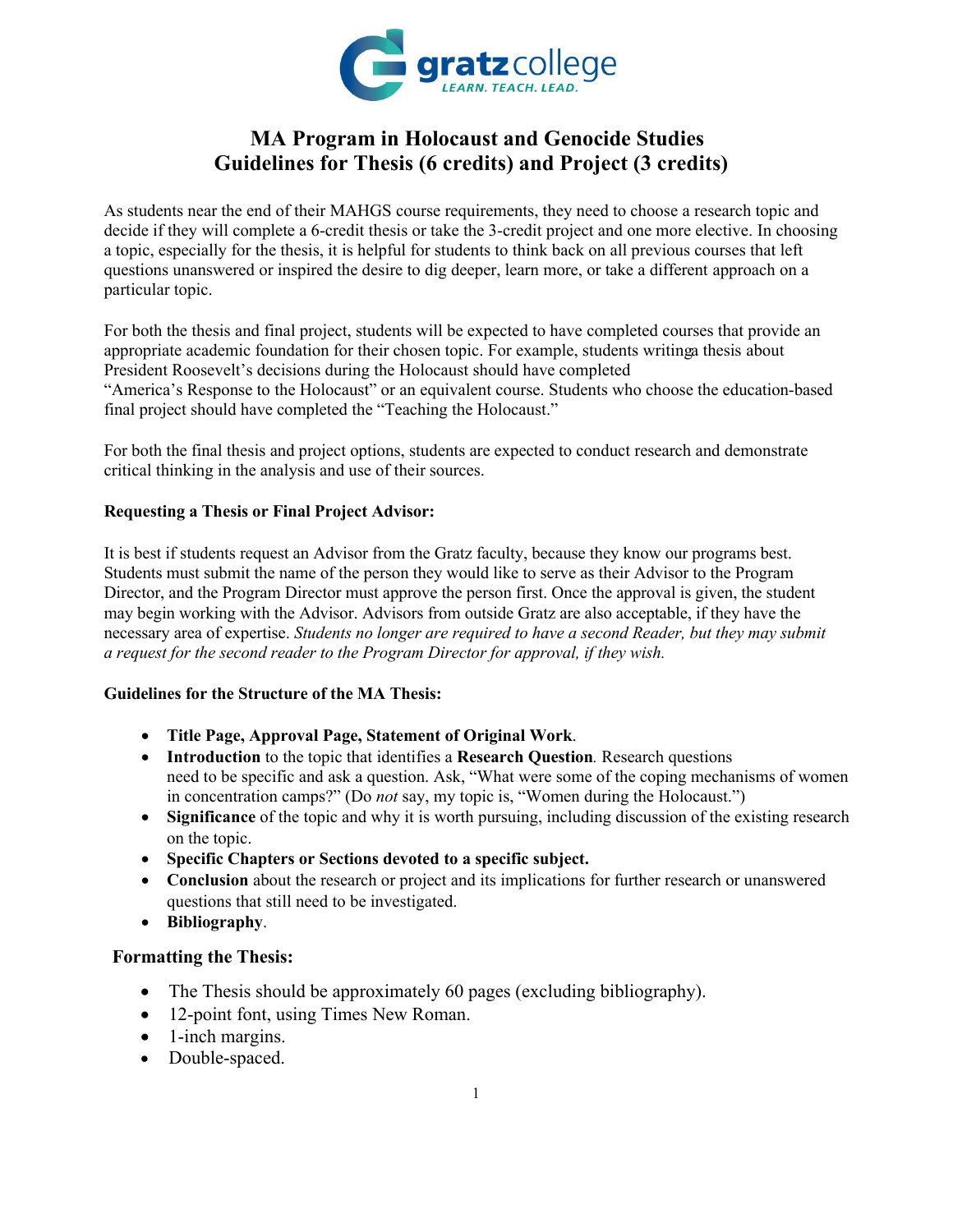

# **MA Program in Holocaust and Genocide Studies Guidelines for Thesis (6 credits) and Project (3 credits)**

As students near the end of their MAHGS course requirements, they need to choose a research topic and decide if they will complete a 6-credit thesis or take the 3-credit project and one more elective. In choosing a topic, especially for the thesis, it is helpful for students to think back on all previous courses that left questions unanswered or inspired the desire to dig deeper, learn more, or take a different approach on a particular topic.

For both the thesis and final project, students will be expected to have completed courses that provide an appropriate academic foundation for their chosen topic. For example, students writinga thesis about President Roosevelt's decisions during the Holocaust should have completed PHULFDHSRHWRWKH Holocaust" or an equivalent course. Students who choose the education-based final project should have completed the "Teaching the Holocaust."

For both the final thesis and project options, students are expected to conduct research and demonstrate critical thinking in the analysis and use of their sources.

#### **Requesting a Thesis or Final Project Advisor:**

It is best if students request an Advisor from the Gratz faculty, because they know our programs best. Students must submit the name of the person they would like to serve as their Advisor to the Program Director, and the Program Director must approve the person first. Once the approval is given, the student may begin working with the Advisor. Advisors from outside Gratz are also acceptable, if they have the necessary area of expertise. *Students no longer are required to have a second Reader, but they may submit a request for the second reader to the Program Director for approval, if they wish.* 

#### **Guidelines for the Structure of the MA Thesis:**

- **Title Page, Approval Page, Statement of Original Work**.
- **Introduction** to the topic that identifies a **Research Question***.* Research questions need to be specific and ask a question. Ask, "What were some of the coping mechanisms of women in concentration camps?" (Do *not* say, my topic is, "Women during the Holocaust.")
- **Significance** of the topic and why it is worth pursuing, including discussion of the existing research  $\Box$ on the topic.
- **Specific Chapters or Sections devoted to a specific subject.**
- Conclusion about the research or project and its implications for further research or unanswered  $\Box$ questions that still need to be investigated.
- **Bibliography**.
- $\bullet$  /HQJWK7KH7KHVLVKRXOGEHDERXWSDJHV

# **Formatting the Thesis:**

- The Thesis should be approximately 60 pages (excluding bibliography).
- 12-point font, using Times New Roman.
- 1-inch margins.
- Double-spaced.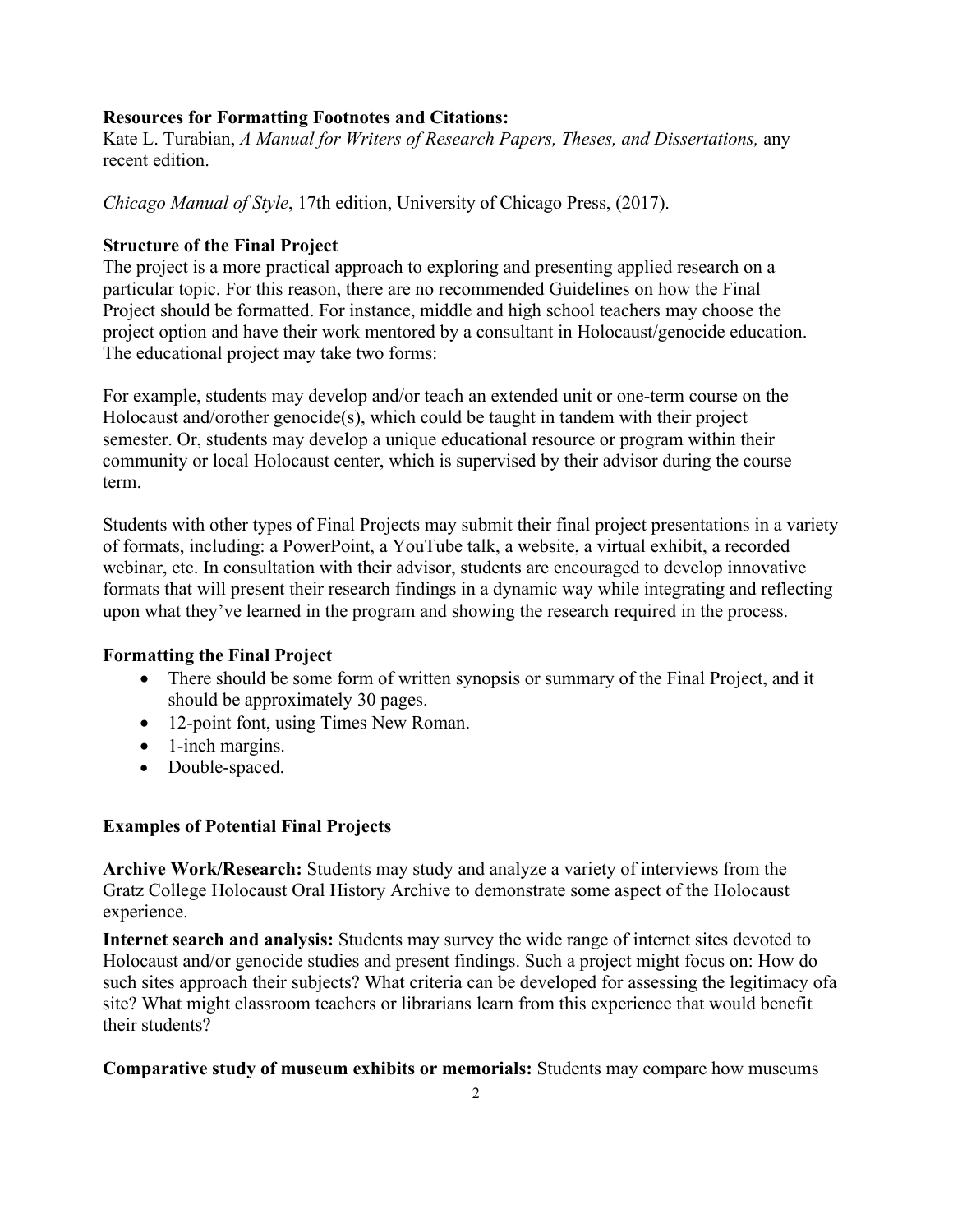## **Resources for Formatting Footnotes and Citations:**

Kate L. Turabian, *A Manual for Writers of Research Papers, Theses, and Dissertations,* any recent edition.

*Chicago Manual of Style*, 17th edition, University of Chicago Press, (2017).

## **Structure of the Final Project**

The project is a more practical approach to exploring and presenting applied research on a particular topic. For this reason, there are no recommended Guidelines on how the Final Project should be formatted. For instance, middle and high school teachers may choose the project option and have their work mentored by a consultant in Holocaust/genocide education. The educational project may take two forms:

For example, students may develop and/or teach an extended unit or one-term course on the Holocaust and/orother genocide(s), which could be taught in tandem with their project semester. Or, students may develop a unique educational resource or program within their community or local Holocaust center, which is supervised by their advisor during the course term.

Students with other types of Final Projects may submit their final project presentations in a variety of formats, including: a PowerPoint, a YouTube talk, a website, a virtual exhibit, a recorded webinar, etc. In consultation with their advisor, students are encouraged to develop innovative formats that will present their research findings in a dynamic way while integrating and reflecting upon what they've learned in the program and showing the research required in the process.

# **Formatting the Final Project**

- There should be some form of written synopsis or summary of the Final Project, and it should be approximately 30 pages.
- 12-point font, using Times New Roman.
- 1-inch margins.
- Double-spaced.

# **Examples of Potential Final Projects**

**Archive Work/Research:** Students may study and analyze a variety of interviews from the Gratz College Holocaust Oral History Archive to demonstrate some aspect of the Holocaust experience.

**Internet search and analysis:** Students may survey the wide range of internet sites devoted to Holocaust and/or genocide studies and present findings. Such a project might focus on: How do such sites approach their subjects? What criteria can be developed for assessing the legitimacy ofa site? What might classroom teachers or librarians learn from this experience that would benefit their students?

**Comparative study of museum exhibits or memorials:** Students may compare how museums